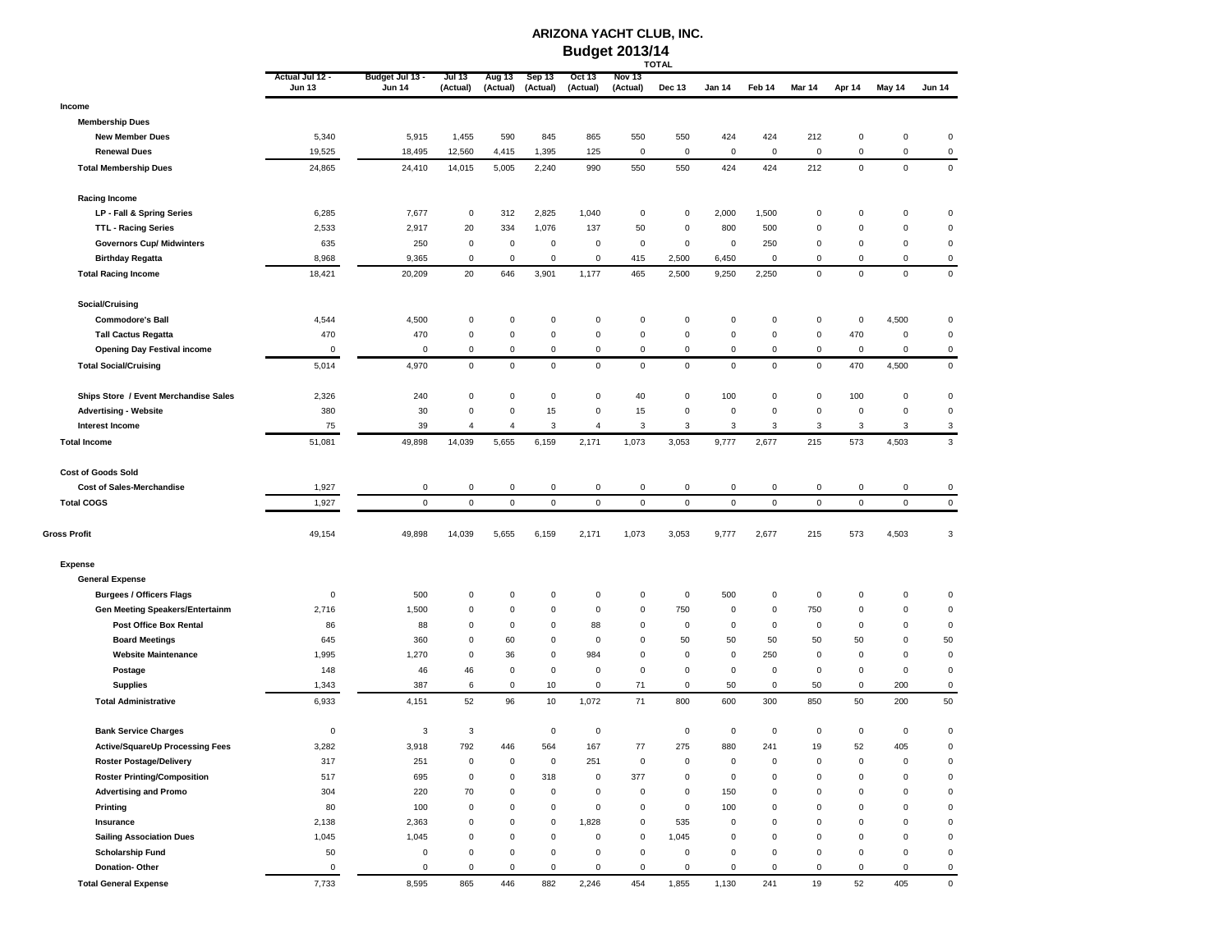## **ARIZONA YACHT CLUB, INC. Budget 2013/14 TOTAL**

|                                                                    | Actual Jul 12 - | Budget Jul 13 - | Jul 13              | Aug 13            | Sep 13             | Oct 13           | Nov 13              |                  |                    |             |                |                   |                    |                          |
|--------------------------------------------------------------------|-----------------|-----------------|---------------------|-------------------|--------------------|------------------|---------------------|------------------|--------------------|-------------|----------------|-------------------|--------------------|--------------------------|
|                                                                    | <b>Jun 13</b>   | <b>Jun 14</b>   | (Actual)            | (Actual)          | (Actual)           | (Actual)         | (Actual)            | Dec 13           | Jan 14             | Feb 14      | <b>Mar 14</b>  | Apr 14            | May 14             | <b>Jun 14</b>            |
| Income                                                             |                 |                 |                     |                   |                    |                  |                     |                  |                    |             |                |                   |                    |                          |
| <b>Membership Dues</b>                                             |                 |                 |                     |                   |                    |                  |                     |                  |                    |             |                |                   |                    |                          |
| <b>New Member Dues</b>                                             | 5,340           | 5,915           | 1,455               | 590               | 845                | 865              | 550                 | 550              | 424                | 424         | 212            | 0                 | 0                  | $\pmb{0}$                |
| <b>Renewal Dues</b>                                                | 19,525          | 18,495          | 12,560              | 4,415             | 1,395              | 125              | 0                   | $\mathbf 0$      | $\mathsf 0$        | 0           | $\mathbf 0$    | 0                 | 0                  | $\mathsf 0$              |
| <b>Total Membership Dues</b>                                       | 24,865          | 24,410          | 14,015              | 5,005             | 2,240              | 990              | 550                 | 550              | 424                | 424         | 212            | $\mathsf 0$       | $\pmb{0}$          | $\mathbf 0$              |
| <b>Racing Income</b>                                               |                 |                 |                     |                   |                    |                  |                     |                  |                    |             |                |                   |                    |                          |
| LP - Fall & Spring Series                                          | 6,285           | 7,677           | 0                   | 312               | 2,825              | 1,040            | 0                   | 0                | 2,000              | 1,500       | 0              | 0                 | 0                  | $\pmb{0}$                |
| <b>TTL - Racing Series</b>                                         | 2,533           | 2,917           | 20                  | 334               | 1,076              | 137              | 50                  | $\mathsf 0$      | 800                | 500         | 0              | $\mathsf 0$       | 0                  | $\pmb{0}$                |
| <b>Governors Cup/ Midwinters</b>                                   | 635             | 250             | $\mathbf 0$         | 0                 | $\mathbf 0$        | 0                | 0                   | $\mathsf 0$      | 0                  | 250         | 0              | 0                 | 0                  | $\pmb{0}$                |
| <b>Birthday Regatta</b>                                            | 8,968           | 9,365           | $\mathbf 0$         | $\mathsf 0$       | $\mathbf 0$        | 0                | 415                 | 2,500            | 6,450              | $\Omega$    | 0              | $\mathbf 0$       | 0                  | $\mathbf 0$              |
| <b>Total Racing Income</b>                                         | 18,421          | 20,209          | 20                  | 646               | 3,901              | 1,177            | 465                 | 2,500            | 9,250              | 2,250       | $\mathbf 0$    | $\mathsf 0$       | $\mathsf 0$        | $\pmb{0}$                |
| Social/Cruising                                                    |                 |                 |                     |                   |                    |                  |                     |                  |                    |             |                |                   |                    |                          |
| <b>Commodore's Ball</b>                                            | 4,544           | 4,500           | 0                   | $\mathsf 0$       | $\pmb{0}$          | 0                | 0                   | 0                | $\pmb{0}$          | 0           | $\mathbf 0$    | 0                 | 4,500              | $\pmb{0}$                |
| <b>Tall Cactus Regatta</b>                                         | 470             | 470             | $\mathbf 0$         | 0                 | $\pmb{0}$          | 0                | 0                   | $\pmb{0}$        | $\pmb{0}$          | 0           | $\mathsf 0$    | 470               | 0                  | $\pmb{0}$                |
| <b>Opening Day Festival income</b>                                 | $\mathbf 0$     | $\pmb{0}$       | 0                   | $\mathsf 0$       | $\pmb{0}$          | 0                | 0                   | $\pmb{0}$        | $\pmb{0}$          | 0           | $\pmb{0}$      | $\pmb{0}$         | 0                  | $\mathsf 0$              |
| <b>Total Social/Cruising</b>                                       | 5,014           | 4,970           | $\mathsf 0$         | $\mathsf 0$       | $\mathsf 0$        | $\mathsf 0$      | 0                   | $\pmb{0}$        | $\mathsf 0$        | $\mathsf 0$ | $\mathbf 0$    | 470               | 4,500              | $\mathbf 0$              |
| Ships Store / Event Merchandise Sales                              | 2,326           | 240             | $\pmb{0}$           | $\mathsf 0$       | $\pmb{0}$          | $\mathbf 0$      | 40                  | $\mathsf 0$      | 100                | 0           | $\mathsf 0$    | 100               | 0                  | $\pmb{0}$                |
| <b>Advertising - Website</b>                                       | 380             | 30              | $\mathbf 0$         | 0                 | 15                 | $\mathbf 0$      | 15                  | $\mathsf 0$      | $\mathbf 0$        | 0           | 0              | 0                 | 0                  | $\pmb{0}$                |
| Interest Income                                                    | 75              | 39              | $\overline{4}$      | 4                 | 3                  | $\overline{4}$   | 3                   | 3                | 3                  | 3           | 3              | 3                 | 3                  | 3                        |
| <b>Total Income</b>                                                | 51,081          | 49,898          | 14,039              | 5,655             | 6,159              | 2,171            | 1,073               | 3,053            | 9,777              | 2,677       | 215            | 573               | 4,503              | $\sqrt{3}$               |
| <b>Cost of Goods Sold</b>                                          |                 |                 |                     |                   |                    |                  |                     |                  |                    |             |                |                   |                    |                          |
| Cost of Sales-Merchandise                                          | 1,927           | $\mathsf 0$     | 0                   | $\mathsf 0$       | $\pmb{0}$          | 0                | 0                   | $\pmb{0}$        | $\pmb{0}$          | 0           | 0              | 0                 | 0                  | $\mathsf 0$              |
| <b>Total COGS</b>                                                  | 1,927           | $\mathbf 0$     | $\mathsf 0$         | $\mathsf 0$       | $\mathbf 0$        | $\mathsf 0$      | $\mathbf 0$         | $\pmb{0}$        | $\pmb{0}$          | 0           | $\mathbf 0$    | $\mathsf 0$       | 0                  | $\mathbf 0$              |
| Gross Profit                                                       | 49,154          | 49,898          | 14,039              | 5,655             | 6,159              | 2,171            | 1,073               | 3,053            | 9,777              | 2,677       | 215            | 573               | 4,503              | 3                        |
| <b>Expense</b>                                                     |                 |                 |                     |                   |                    |                  |                     |                  |                    |             |                |                   |                    |                          |
| <b>General Expense</b>                                             |                 |                 |                     |                   |                    |                  |                     |                  |                    |             |                |                   |                    |                          |
| <b>Burgees / Officers Flags</b>                                    | 0               | 500             | $\pmb{0}$           | $\mathsf 0$       | $\pmb{0}$          | 0                | 0                   | $\mathsf 0$      | 500                | 0           | $\mathsf 0$    | 0                 | 0                  | $\pmb{0}$                |
| <b>Gen Meeting Speakers/Entertainm</b>                             | 2,716           | 1,500           | 0                   | 0                 | $\mathbf 0$        | $\mathbf 0$      | 0                   | 750              | 0                  | 0           | 750            | 0                 | 0                  | $\pmb{0}$                |
| Post Office Box Rental                                             | 86              | 88              | $\pmb{0}$           | $\mathsf 0$       | $\pmb{0}$          | 88               | 0                   | $\mathsf 0$      | $\pmb{0}$          | 0           | $\mathsf 0$    | $\mathsf 0$       | 0                  | $\pmb{0}$                |
| <b>Board Meetings</b>                                              | 645             | 360             | $\mathbf 0$         | 60                | $\mathbf 0$        | 0                | 0                   | 50               | 50                 | 50          | 50             | 50                | 0                  | 50                       |
| <b>Website Maintenance</b>                                         | 1,995           | 1,270           | $\mathbf 0$         | 36                | $\pmb{0}$          | 984              | 0                   | $\pmb{0}$        | $\pmb{0}$          | 250         | 0              | $\mathbf 0$       | 0                  | $\pmb{0}$                |
| Postage                                                            | 148             | 46              | 46                  | 0                 | $\mathbf 0$        | 0                | 0                   | 0                | 0                  | 0           | 0              | 0                 | 0                  | $\pmb{0}$                |
| <b>Supplies</b><br><b>Total Administrative</b>                     | 1,343<br>6,933  | 387<br>4,151    | 6<br>52             | $\mathsf 0$<br>96 | 10<br>10           | 0<br>1,072       | 71<br>71            | $\pmb{0}$<br>800 | 50<br>600          | 0<br>300    | 50<br>850      | 0<br>50           | 200<br>200         | $\pmb{0}$<br>50          |
|                                                                    |                 |                 |                     |                   |                    |                  |                     |                  |                    |             |                |                   |                    |                          |
| <b>Bank Service Charges</b>                                        | 0               | 3               | 3                   |                   | $\pmb{0}$          | 0                |                     | $\mathsf 0$      | $\mathbf 0$        | $\mathsf 0$ | 0              | 0                 | $\mathsf 0$        | $\pmb{0}$                |
| Active/SquareUp Processing Fees                                    | 3,282           | 3,918           | 792<br>$\mathbf 0$  | 446<br>0          | 564<br>$\mathbf 0$ | 167<br>251       | 77<br>$\Omega$      | 275<br>0         | 880<br>$\mathbf 0$ | 241<br>0    | 19<br>$\Omega$ | 52<br>$\mathbf 0$ | 405<br>$\mathbf 0$ | $\pmb{0}$<br>$\mathbf 0$ |
| <b>Roster Postage/Delivery</b>                                     | 317             | 251             |                     | $\mathsf 0$       |                    |                  |                     | $\mathsf 0$      |                    | $\mathsf 0$ | 0              | $\mathbf 0$       | 0                  | $\mathbf 0$              |
| <b>Roster Printing/Composition</b><br><b>Advertising and Promo</b> | 517<br>304      | 695<br>220      | 0<br>70             | $\mathsf 0$       | 318<br>$\mathsf 0$ | 0<br>$\mathbf 0$ | 377<br>$\mathbf 0$  | $\mathbf 0$      | $\pmb{0}$<br>150   | 0           | 0              | $\mathsf 0$       | 0                  | $\pmb{0}$                |
| Printing                                                           | 80              | 100             | $\mathbf 0$         | $\mathsf 0$       | $\mathbf 0$        | 0                | 0                   | $\pmb{0}$        | 100                | 0           | 0              | 0                 | $\pmb{0}$          | $\pmb{0}$                |
| Insurance                                                          | 2,138           | 2,363           | $\mathbf 0$         | 0                 | $\mathsf 0$        | 1,828            | 0                   | 535              | $\pmb{0}$          | 0           | $\mathsf 0$    | $\mathbf 0$       | 0                  | $\pmb{0}$                |
| <b>Sailing Association Dues</b>                                    | 1,045           | 1,045           | $\mathsf{O}\xspace$ | $\mathsf 0$       | $\mathbf 0$        | 0                | 0                   | 1,045            | $\pmb{0}$          | 0           | 0              | 0                 | 0                  | $\pmb{0}$                |
| <b>Scholarship Fund</b>                                            | 50              | $\pmb{0}$       | $\mathsf{O}\xspace$ | 0                 | $\pmb{0}$          | 0                | $\mathbf 0$         | $\mathsf 0$      | $\pmb{0}$          | $\mathsf 0$ | 0              | 0                 | 0                  | $\pmb{0}$                |
| Donation-Other                                                     | $\mathbf 0$     | $\pmb{0}$       | $\mathsf 0$         | $\mathsf 0$       | $\mathsf 0$        | 0                | $\mathsf{O}\xspace$ | $\pmb{0}$        | $\mathbf 0$        | $\mathsf 0$ | $\mathbf 0$    | $\mathbf 0$       | 0                  | $\mathsf 0$              |
| <b>Total General Expense</b>                                       | 7,733           | 8,595           | 865                 | 446               | 882                | 2,246            | 454                 | 1,855            | 1,130              | 241         | 19             | 52                | 405                | $\mathsf 0$              |